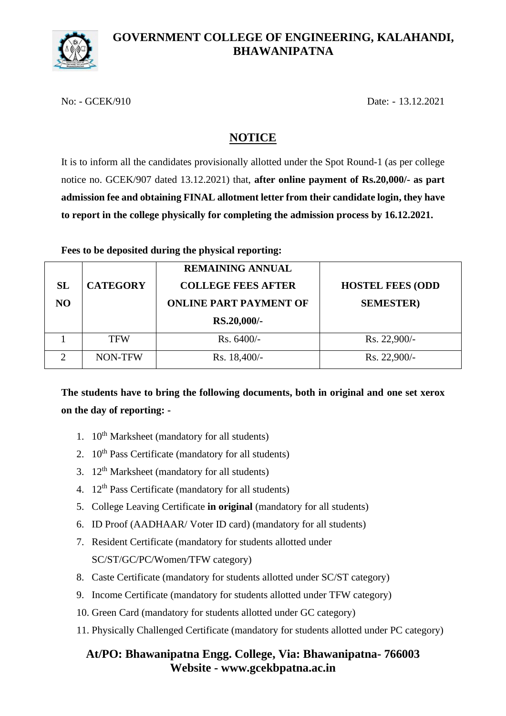

### **GOVERNMENT COLLEGE OF ENGINEERING, KALAHANDI, BHAWANIPATNA**

No: - GCEK/910 Date: - 13.12.2021

## **NOTICE**

It is to inform all the candidates provisionally allotted under the Spot Round-1 (as per college notice no. GCEK/907 dated 13.12.2021) that, **after online payment of Rs.20,000/- as part admission fee and obtaining FINAL allotment letter from their candidate login, they have to report in the college physically for completing the admission process by 16.12.2021.**

#### **Fees to be deposited during the physical reporting:**

| SL<br>NO. | <b>CATEGORY</b> | <b>REMAINING ANNUAL</b><br><b>COLLEGE FEES AFTER</b><br><b>ONLINE PART PAYMENT OF</b><br>RS.20,000/- | <b>HOSTEL FEES (ODD</b><br><b>SEMESTER</b> ) |
|-----------|-----------------|------------------------------------------------------------------------------------------------------|----------------------------------------------|
|           | <b>TFW</b>      | Rs. 6400/-                                                                                           | Rs. 22,900/-                                 |
| ◠         | NON-TFW         | Rs. 18,400/-                                                                                         | Rs. 22,900/-                                 |

# **The students have to bring the following documents, both in original and one set xerox on the day of reporting: -**

- 1.  $10^{th}$  Marksheet (mandatory for all students)
- 2.  $10<sup>th</sup>$  Pass Certificate (mandatory for all students)
- 3. 12th Marksheet (mandatory for all students)
- 4.  $12<sup>th</sup>$  Pass Certificate (mandatory for all students)
- 5. College Leaving Certificate **in original** (mandatory for all students)
- 6. ID Proof (AADHAAR/ Voter ID card) (mandatory for all students)
- 7. Resident Certificate (mandatory for students allotted under SC/ST/GC/PC/Women/TFW category)
- 8. Caste Certificate (mandatory for students allotted under SC/ST category)
- 9. Income Certificate (mandatory for students allotted under TFW category)
- 10. Green Card (mandatory for students allotted under GC category)
- 11. Physically Challenged Certificate (mandatory for students allotted under PC category)

## **At/PO: Bhawanipatna Engg. College, Via: Bhawanipatna- 766003 Website - www.gcekbpatna.ac.in**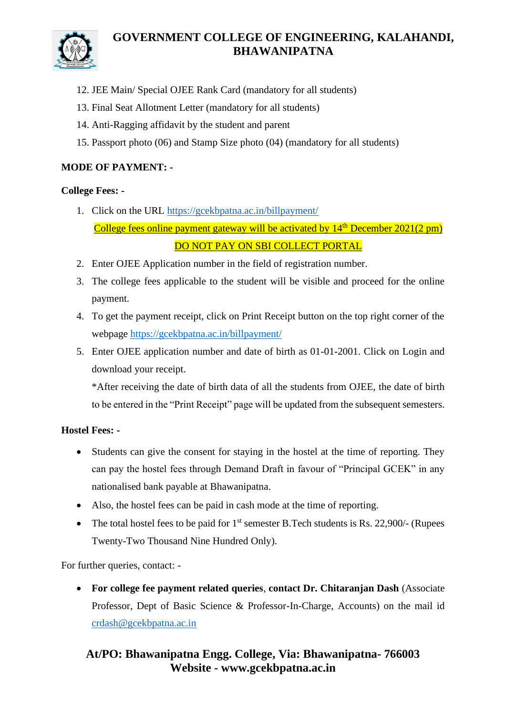

## **GOVERNMENT COLLEGE OF ENGINEERING, KALAHANDI, BHAWANIPATNA**

- 12. JEE Main/ Special OJEE Rank Card (mandatory for all students)
- 13. Final Seat Allotment Letter (mandatory for all students)
- 14. Anti-Ragging affidavit by the student and parent
- 15. Passport photo (06) and Stamp Size photo (04) (mandatory for all students)

#### **MODE OF PAYMENT: -**

#### **College Fees: -**

- 1. Click on the URL<https://gcekbpatna.ac.in/billpayment/> College fees online payment gateway will be activated by  $14<sup>th</sup>$  December 2021(2 pm) DO NOT PAY ON SBI COLLECT PORTAL
- 2. Enter OJEE Application number in the field of registration number.
- 3. The college fees applicable to the student will be visible and proceed for the online payment.
- 4. To get the payment receipt, click on Print Receipt button on the top right corner of the webpage<https://gcekbpatna.ac.in/billpayment/>
- 5. Enter OJEE application number and date of birth as 01-01-2001. Click on Login and download your receipt.

\*After receiving the date of birth data of all the students from OJEE, the date of birth to be entered in the "Print Receipt" page will be updated from the subsequent semesters.

#### **Hostel Fees: -**

- Students can give the consent for staying in the hostel at the time of reporting. They can pay the hostel fees through Demand Draft in favour of "Principal GCEK" in any nationalised bank payable at Bhawanipatna.
- Also, the hostel fees can be paid in cash mode at the time of reporting.
- The total hostel fees to be paid for  $1<sup>st</sup>$  semester B.Tech students is Rs. 22,900/- (Rupees Twenty-Two Thousand Nine Hundred Only).

For further queries, contact: -

• **For college fee payment related queries**, **contact Dr. Chitaranjan Dash** (Associate Professor, Dept of Basic Science & Professor-In-Charge, Accounts) on the mail id [crdash@gcekbpatna.ac.in](mailto:crdash@gcekbpatna.ac.in)

## **At/PO: Bhawanipatna Engg. College, Via: Bhawanipatna- 766003 Website - www.gcekbpatna.ac.in**